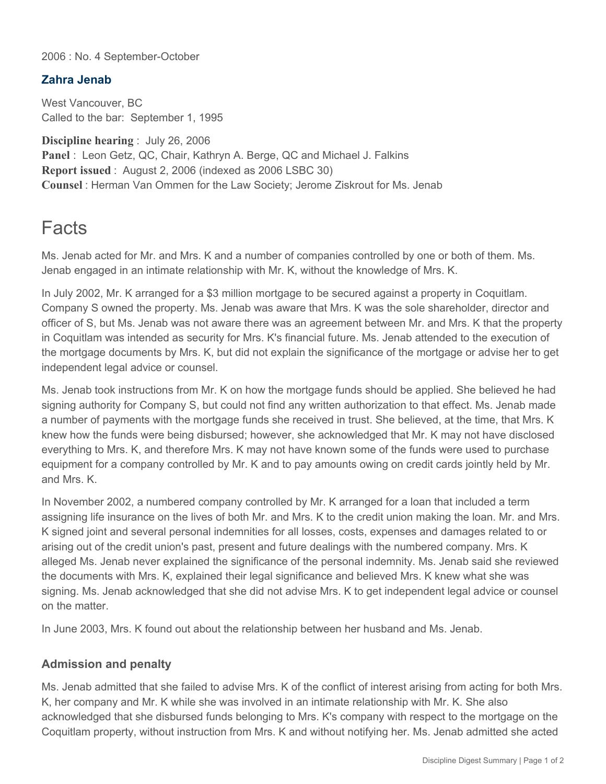2006 : No. 4 September-October

## **Zahra Jenab**

West Vancouver, BC Called to the bar: September 1, 1995

**Discipline hearing** : July 26, 2006 Panel : Leon Getz, QC, Chair, Kathryn A. Berge, QC and Michael J. Falkins **Report issued** : August 2, 2006 (indexed as 2006 LSBC 30) **Counsel** : Herman Van Ommen for the Law Society; Jerome Ziskrout for Ms. Jenab

## **Facts**

Ms. Jenab acted for Mr. and Mrs. K and a number of companies controlled by one or both of them. Ms. Jenab engaged in an intimate relationship with Mr. K, without the knowledge of Mrs. K.

In July 2002, Mr. K arranged for a \$3 million mortgage to be secured against a property in Coquitlam. Company S owned the property. Ms. Jenab was aware that Mrs. K was the sole shareholder, director and officer of S, but Ms. Jenab was not aware there was an agreement between Mr. and Mrs. K that the property in Coquitlam was intended as security for Mrs. K's financial future. Ms. Jenab attended to the execution of the mortgage documents by Mrs. K, but did not explain the significance of the mortgage or advise her to get independent legal advice or counsel.

Ms. Jenab took instructions from Mr. K on how the mortgage funds should be applied. She believed he had signing authority for Company S, but could not find any written authorization to that effect. Ms. Jenab made a number of payments with the mortgage funds she received in trust. She believed, at the time, that Mrs. K knew how the funds were being disbursed; however, she acknowledged that Mr. K may not have disclosed everything to Mrs. K, and therefore Mrs. K may not have known some of the funds were used to purchase equipment for a company controlled by Mr. K and to pay amounts owing on credit cards jointly held by Mr. and Mrs. K.

In November 2002, a numbered company controlled by Mr. K arranged for a loan that included a term assigning life insurance on the lives of both Mr. and Mrs. K to the credit union making the loan. Mr. and Mrs. K signed joint and several personal indemnities for all losses, costs, expenses and damages related to or arising out of the credit union's past, present and future dealings with the numbered company. Mrs. K alleged Ms. Jenab never explained the significance of the personal indemnity. Ms. Jenab said she reviewed the documents with Mrs. K, explained their legal significance and believed Mrs. K knew what she was signing. Ms. Jenab acknowledged that she did not advise Mrs. K to get independent legal advice or counsel on the matter.

In June 2003, Mrs. K found out about the relationship between her husband and Ms. Jenab.

## **Admission and penalty**

Ms. Jenab admitted that she failed to advise Mrs. K of the conflict of interest arising from acting for both Mrs. K, her company and Mr. K while she was involved in an intimate relationship with Mr. K. She also acknowledged that she disbursed funds belonging to Mrs. K's company with respect to the mortgage on the Coquitlam property, without instruction from Mrs. K and without notifying her. Ms. Jenab admitted she acted